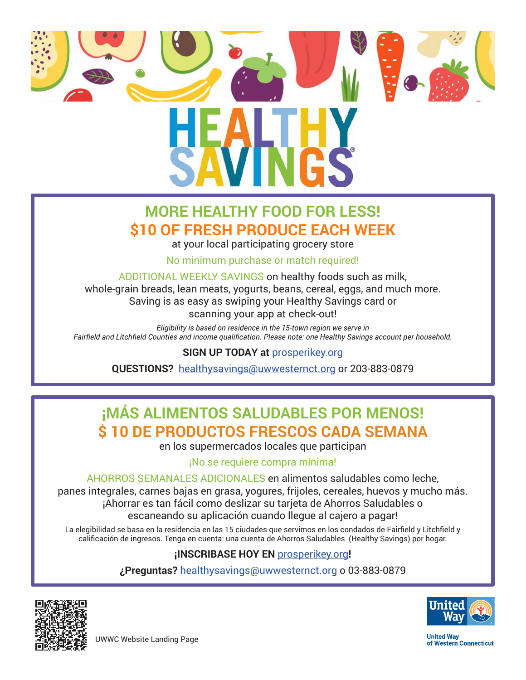

## **MORE HEALTHY FOOD FOR LESS! \$10 OF FRESH PRODUCE EACH WEEK**

at your local participating grocery store

No minimum purchase or match required!

ADDITIONAL WEEKLY SAVINGS on healthy foods such as milk,

whole-grain breads, lean meats, yogurts, beans, cereal, eggs, and much more. Saving is as easy as swiping your Healthy Savings card or scanning your app at check-out!

*Eligibility is based on residence in the 15-town region we serve in Fairfield and Litchfield Counties and income qualification. Please note: one Healthy Savings account per household.*

#### **SIGN UP TODAY at** [prosperikey.org](https://prosperikey.org/)

**QUESTIONS?** [healthysavings@uwwesternct.org](mailto:healthysavings%40uwwesternct.org%20?subject=) or 203-883-0879

# **¡MÁS ALIMENTOS SALUDABLES POR MENOS! \$ 10 DE PRODUCTOS FRESCOS CADA SEMANA**

en los supermercados locales que participan

#### ¡No se requiere compra mínima!

AHORROS SEMANALES ADICIONALES en alimentos saludables como leche, panes integrales, carnes bajas en grasa, yogures, frijoles, cereales, huevos y mucho más. ¡Ahorrar es tan fácil como deslizar su tarjeta de Ahorros Saludables o escaneando su aplicación cuando llegue al cajero a pagar!

La elegibilidad se basa en la residencia en las 15 ciudades que servimos en los condados de Fairfield y Litchfield y calificación de ingresos. Tenga en cuenta: una cuenta de Ahorros Saludables (Healthy Savings) por hogar.

#### **¡INSCRIBASE HOY EN** [prosperikey.org](https://prosperikey.org/)**!**

**¿Preguntas?** healthysavings@uwwesternct.org o 03-883-0879





**United Way** of Western Connecticut

UWWC Website Landing Page